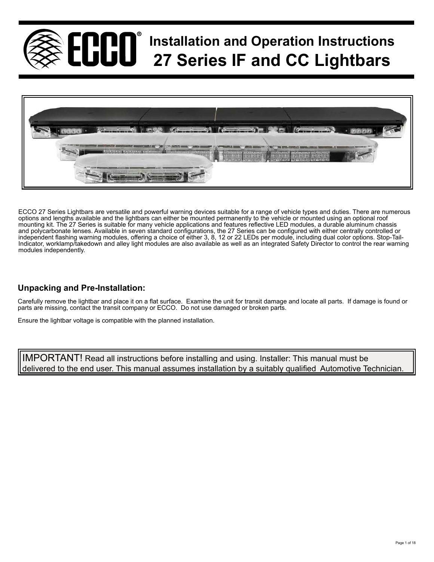



ECCO 27 Series Lightbars are versatile and powerful warning devices suitable for a range of vehicle types and duties. There are numerous options and lengths available and the lightbars can either be mounted permanently to the vehicle or mounted using an optional roof mounting kit. The 27 Series is suitable for many vehicle applications and features reflective LED modules, a durable aluminum chassis and polycarbonate lenses. Available in seven standard configurations, the 27 Series can be configured with either centrally controlled or independent flashing warning modules, offering a choice of either 3, 8, 12 or 22 LEDs per module, including dual color options. Stop-Tail-Indicator, worklamp/takedown and alley light modules are also available as well as an integrated Safety Director to control the rear warning modules independently.

# **Unpacking and Pre-Installation:**

Carefully remove the lightbar and place it on a flat surface. Examine the unit for transit damage and locate all parts. If damage is found or parts are missing, contact the transit company or ECCO. Do not use damaged or broken parts.

Ensure the lightbar voltage is compatible with the planned installation.

delivered to the end user. This manual assumes installation by a suitably qualified Automotive Technician. IMPORTANT! Read all instructions before installing and using. Installer: This manual must be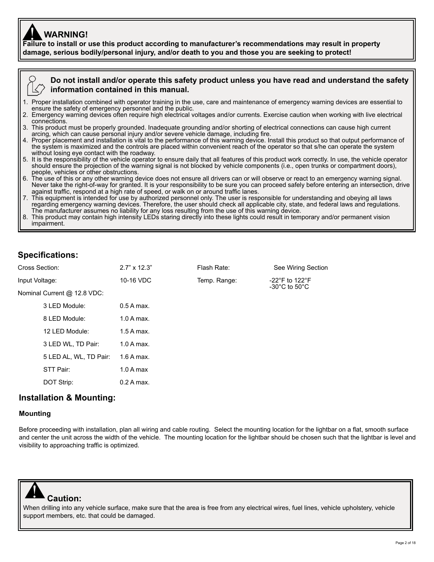# **WARNING!**

**Failure to install or use this product according to manufacturer's recommendations may result in property** ! **damage, serious bodily/personal injury, and/or death to you and those you are seeking to protect!** 



### **Do not install and/or operate this safety product unless you have read and understand the safety information contained in this manual.**

- 1. Proper installation combined with operator training in the use, care and maintenance of emergency warning devices are essential to ensure the safety of emergency personnel and the public.
- 2. Emergency warning devices often require high electrical voltages and/or currents. Exercise caution when working with live electrical connections.
- 3. This product must be properly grounded. Inadequate grounding and/or shorting of electrical connections can cause high current arcing, which can cause personal injury and/or severe vehicle damage, including fire.
- 4. Proper placement and installation is vital to the performance of this warning device. Install this product so that output performance of the system is maximized and the controls are placed within convenient reach of the operator so that s/he can operate the system without losing eye contact with the roadway.
- 5. It is the responsibility of the vehicle operator to ensure daily that all features of this product work correctly. In use, the vehicle operator should ensure the projection of the warning signal is not blocked by vehicle components (i.e., open trunks or compartment doors), people, vehicles or other obstructions.
- 6. The use of this or any other warning device does not ensure all drivers can or will observe or react to an emergency warning signal. Never take the right-of-way for granted. It is your responsibility to be sure you can proceed safely before entering an intersection, drive against traffic, respond at a high rate of speed, or walk on or around traffic lanes.
- 7. This equipment is intended for use by authorized personnel only. The user is responsible for understanding and obeying all laws regarding emergency warning devices. Therefore, the user should check all applicable city, state, and federal laws and regulations. The manufacturer assumes no liability for any loss resulting from the use of this warning device.
- This product may contain high intensity LEDs staring directly into these lights could result in temporary and/or permanent vision impairment.

## **Specifications:**

| Cross Section:              | $2.7" \times 12.3"$ | Flash Rate:  | See Wiring Section                                                        |
|-----------------------------|---------------------|--------------|---------------------------------------------------------------------------|
| Input Voltage:              | 10-16 VDC           | Temp. Range: | -22 $\degree$ F to 122 $\degree$ F<br>-30 $^{\circ}$ C to 50 $^{\circ}$ C |
| Nominal Current @ 12.8 VDC: |                     |              |                                                                           |
| 3 LED Module:               | $0.5A$ max.         |              |                                                                           |
| 8 LED Module:               | $1.0$ A max.        |              |                                                                           |
| 12 LED Module:              | $1.5A$ max.         |              |                                                                           |
| 3 LED WL, TD Pair:          | $1.0$ A max.        |              |                                                                           |
| 5 LED AL, WL, TD Pair:      | $1.6$ A max.        |              |                                                                           |
| STT Pair:                   | 1.0 A max           |              |                                                                           |
| DOT Strip:                  | $0.2$ A max.        |              |                                                                           |
|                             |                     |              |                                                                           |

### **Installation & Mounting:**

#### **Mounting**

Before proceeding with installation, plan all wiring and cable routing. Select the mounting location for the lightbar on a flat, smooth surface and center the unit across the width of the vehicle. The mounting location for the lightbar should be chosen such that the lightbar is level and visibility to approaching traffic is optimized.



When drilling into any vehicle surface, make sure that the area is free from any electrical wires, fuel lines, vehicle upholstery, vehicle support members, etc. that could be damaged.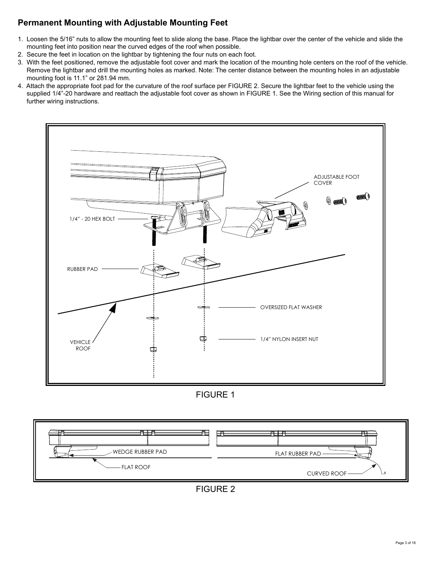# **Permanent Mounting with Adjustable Mounting Feet**

- 1. Loosen the 5/16" nuts to allow the mounting feet to slide along the base. Place the lightbar over the center of the vehicle and slide the mounting feet into position near the curved edges of the roof when possible.
- 2. Secure the feet in location on the lightbar by tightening the four nuts on each foot.
- 3. With the feet positioned, remove the adjustable foot cover and mark the location of the mounting hole centers on the roof of the vehicle. Remove the lightbar and drill the mounting holes as marked. Note: The center distance between the mounting holes in an adjustable mounting foot is 11.1" or 281.94 mm.
- 4. Attach the appropriate foot pad for the curvature of the roof surface per FIGURE 2. Secure the lightbar feet to the vehicle using the supplied 1/4"-20 hardware and reattach the adjustable foot cover as shown in FIGURE 1. See the Wiring section of this manual for further wiring instructions.



FIGURE 1



FIGURE 2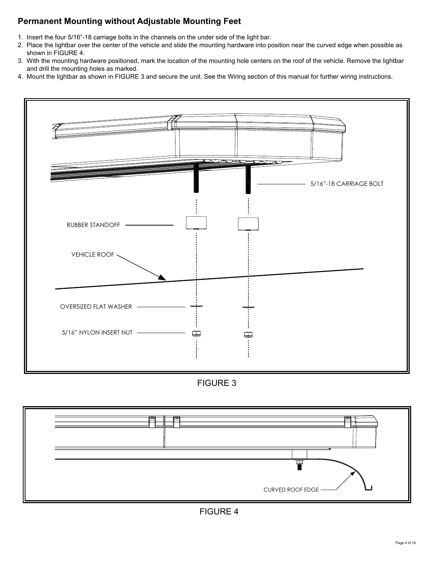# **Permanent Mounting without Adjustable Mounting Feet**

- 1. Insert the four 5/16"-18 carriage bolts in the channels on the under side of the light bar.
- 2. Place the lightbar over the center of the vehicle and slide the mounting hardware into position near the curved edge when possible as shown in FIGURE 4.
- 3. With the mounting hardware positioned, mark the location of the mounting hole centers on the roof of the vehicle. Remove the lightbar and drill the mounting holes as marked.
- 4. Mount the lightbar as shown in FIGURE 3 and secure the unit. See the Wiring section of this manual for further wiring instructions.



FIGURE 3



FIGURE 4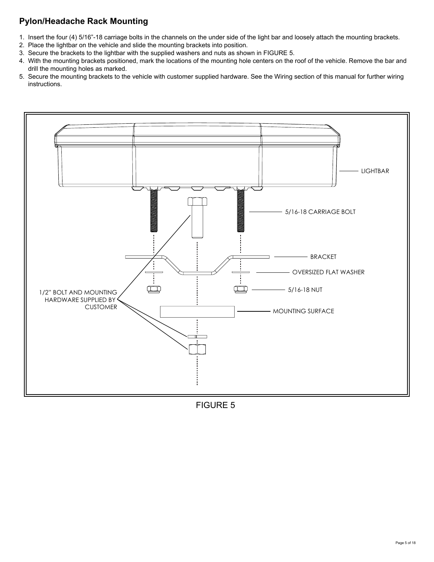# **Pylon/Headache Rack Mounting**

- 1. Insert the four (4) 5/16"-18 carriage bolts in the channels on the under side of the light bar and loosely attach the mounting brackets.
- 2. Place the lightbar on the vehicle and slide the mounting brackets into position.
- 3. Secure the brackets to the lightbar with the supplied washers and nuts as shown in FIGURE 5.
- 4. With the mounting brackets positioned, mark the locations of the mounting hole centers on the roof of the vehicle. Remove the bar and drill the mounting holes as marked.
- 5. Secure the mounting brackets to the vehicle with customer supplied hardware. See the Wiring section of this manual for further wiring instructions.



FIGURE 5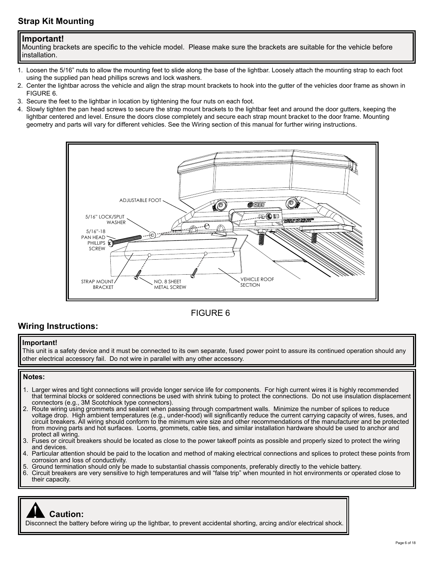# **Strap Kit Mounting**

### **Important!**

 Mounting brackets are specific to the vehicle model. Please make sure the brackets are suitable for the vehicle before installation.

- 1. Loosen the 5/16" nuts to allow the mounting feet to slide along the base of the lightbar. Loosely attach the mounting strap to each foot using the supplied pan head phillips screws and lock washers.
- 2. Center the lightbar across the vehicle and align the strap mount brackets to hook into the gutter of the vehicles door frame as shown in FIGURE 6.
- 3. Secure the feet to the lightbar in location by tightening the four nuts on each foot.
- 4. Slowly tighten the pan head screws to secure the strap mount brackets to the lightbar feet and around the door gutters, keeping the lightbar centered and level. Ensure the doors close completely and secure each strap mount bracket to the door frame. Mounting geometry and parts will vary for different vehicles. See the Wiring section of this manual for further wiring instructions.



## FIGURE 6

### **Wiring Instructions:**

#### **Important!**

 This unit is a safety device and it must be connected to its own separate, fused power point to assure its continued operation should any other electrical accessory fail. Do not wire in parallel with any other accessory.

#### **Notes:**

- 1. Larger wires and tight connections will provide longer service life for components. For high current wires it is highly recommended that terminal blocks or soldered connections be used with shrink tubing to protect the connections. Do not use insulation displacement connectors (e.g., 3M Scotchlock type connectors).
- 2. Route wiring using grommets and sealant when passing through compartment walls. Minimize the number of splices to reduce voltage drop. High ambient temperatures (e.g., under-hood) will significantly reduce the current carrying capacity of wires, fuses, and circuit breakers. All wiring should conform to the minimum wire size and other recommendations of the manufacturer and be protected from moving parts and hot surfaces. Looms, grommets, cable ties, and similar installation hardware should be used to anchor and protect all wiring.
- 3. Fuses or circuit breakers should be located as close to the power takeoff points as possible and properly sized to protect the wiring and devices.<br>4 Particular att
- Particular attention should be paid to the location and method of making electrical connections and splices to protect these points from corrosion and loss of conductivity.
- 5. Ground termination should only be made to substantial chassis components, preferably directly to the vehicle battery. 6. Circuit breakers are very sensitive to high temperatures and will "false trip" when mounted in hot environments or operated close to
	- their capacity.

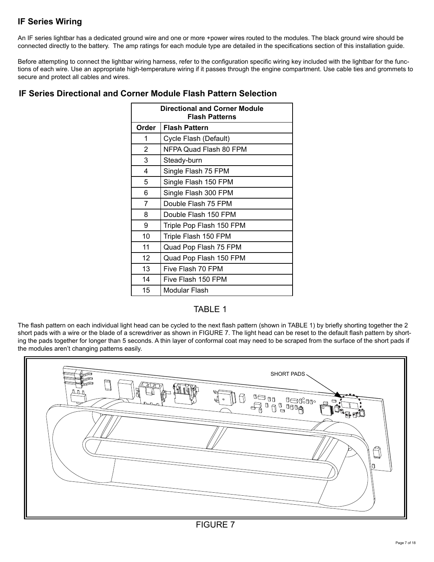# **IF Series Wiring**

An IF series lightbar has a dedicated ground wire and one or more +power wires routed to the modules. The black ground wire should be connected directly to the battery. The amp ratings for each module type are detailed in the specifications section of this installation guide.

Before attempting to connect the lightbar wiring harness, refer to the configuration specific wiring key included with the lightbar for the functions of each wire. Use an appropriate high-temperature wiring if it passes through the engine compartment. Use cable ties and grommets to secure and protect all cables and wires.

| <b>Directional and Corner Module</b><br><b>Flash Patterns</b> |                          |  |
|---------------------------------------------------------------|--------------------------|--|
| Order                                                         | <b>Flash Pattern</b>     |  |
| 1                                                             | Cycle Flash (Default)    |  |
| 2                                                             | NFPA Quad Flash 80 FPM   |  |
| 3                                                             | Steady-burn              |  |
| 4                                                             | Single Flash 75 FPM      |  |
| 5                                                             | Single Flash 150 FPM     |  |
| 6                                                             | Single Flash 300 FPM     |  |
| 7                                                             | Double Flash 75 FPM      |  |
| 8                                                             | Double Flash 150 FPM     |  |
| 9                                                             | Triple Pop Flash 150 FPM |  |
| 10                                                            | Triple Flash 150 FPM     |  |
| 11                                                            | Quad Pop Flash 75 FPM    |  |
| 12                                                            | Quad Pop Flash 150 FPM   |  |
| 13                                                            | Five Flash 70 FPM        |  |
| 14                                                            | Five Flash 150 FPM       |  |
| 15                                                            | Modular Flash            |  |

## **IF Series Directional and Corner Module Flash Pattern Selection**

## TABLE 1

The flash pattern on each individual light head can be cycled to the next flash pattern (shown in TABLE 1) by briefly shorting together the 2 short pads with a wire or the blade of a screwdriver as shown in FIGURE 7. The light head can be reset to the default flash pattern by shorting the pads together for longer than 5 seconds. A thin layer of conformal coat may need to be scraped from the surface of the short pads if the modules aren't changing patterns easily.

| SHORT PADS<br>Ħ                                                                                 |             |
|-------------------------------------------------------------------------------------------------|-------------|
| ᆸ<br>п<br>a and a la la la d<br>$\bigcap$<br>다<br>$\bullet$<br>$\qquad \qquad \Box$<br>ת-<br>≏. |             |
| <b>Coard</b>                                                                                    | Ħ<br>=<br>A |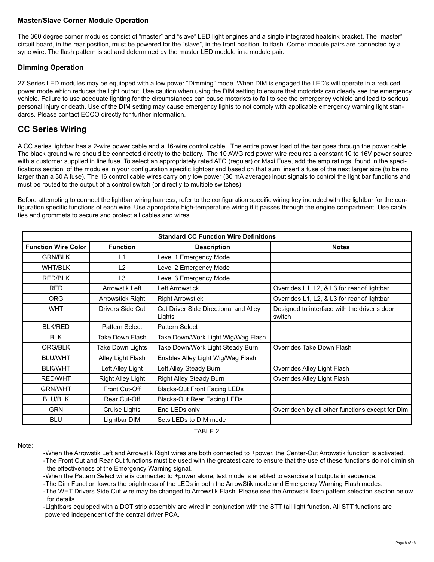### **Master/Slave Corner Module Operation**

The 360 degree corner modules consist of "master" and "slave" LED light engines and a single integrated heatsink bracket. The "master" circuit board, in the rear position, must be powered for the "slave", in the front position, to flash. Corner module pairs are connected by a sync wire. The flash pattern is set and determined by the master LED module in a module pair.

### **Dimming Operation**

27 Series LED modules may be equipped with a low power "Dimming" mode. When DIM is engaged the LED's will operate in a reduced power mode which reduces the light output. Use caution when using the DIM setting to ensure that motorists can clearly see the emergency vehicle. Failure to use adequate lighting for the circumstances can cause motorists to fail to see the emergency vehicle and lead to serious personal injury or death. Use of the DIM setting may cause emergency lights to not comply with applicable emergency warning light standards. Please contact ECCO directly for further information.

## **CC Series Wiring**

A CC series lightbar has a 2-wire power cable and a 16-wire control cable. The entire power load of the bar goes through the power cable. The black ground wire should be connected directly to the battery. The 10 AWG red power wire requires a constant 10 to 16V power source with a customer supplied in line fuse. To select an appropriately rated ATO (regular) or Maxi Fuse, add the amp ratings, found in the specifications section, of the modules in your configuration specific lightbar and based on that sum, insert a fuse of the next larger size (to be no larger than a 30 A fuse). The 16 control cable wires carry only low power (30 mA average) input signals to control the light bar functions and must be routed to the output of a control switch (or directly to multiple switches).

Before attempting to connect the lightbar wiring harness, refer to the configuration specific wiring key included with the lightbar for the configuration specific functions of each wire. Use appropriate high-temperature wiring if it passes through the engine compartment. Use cable ties and grommets to secure and protect all cables and wires.

| <b>Standard CC Function Wire Definitions</b> |                          |                                                 |                                                        |
|----------------------------------------------|--------------------------|-------------------------------------------------|--------------------------------------------------------|
| <b>Function Wire Color</b>                   | <b>Function</b>          | <b>Description</b>                              | <b>Notes</b>                                           |
| <b>GRN/BLK</b>                               | L1                       | Level 1 Emergency Mode                          |                                                        |
| <b>WHT/BLK</b>                               | L2                       | Level 2 Emergency Mode                          |                                                        |
| <b>RED/BLK</b>                               | L <sub>3</sub>           | Level 3 Emergency Mode                          |                                                        |
| <b>RED</b>                                   | Arrowstik Left           | <b>Left Arrowstick</b>                          | Overrides L1, L2, & L3 for rear of lightbar            |
| <b>ORG</b>                                   | Arrowstick Right         | <b>Right Arrowstick</b>                         | Overrides L1, L2, & L3 for rear of lightbar            |
| <b>WHT</b>                                   | Drivers Side Cut         | Cut Driver Side Directional and Alley<br>Lights | Designed to interface with the driver's door<br>switch |
| <b>BLK/RED</b>                               | Pattern Select           | Pattern Select                                  |                                                        |
| <b>BLK</b>                                   | Take Down Flash          | Take Down/Work Light Wig/Wag Flash              |                                                        |
| ORG/BLK                                      | Take Down Lights         | Take Down/Work Light Steady Burn                | Overrides Take Down Flash                              |
| <b>BLU/WHT</b>                               | Alley Light Flash        | Enables Alley Light Wig/Wag Flash               |                                                        |
| <b>BLK/WHT</b>                               | Left Alley Light         | Left Alley Steady Burn                          | Overrides Alley Light Flash                            |
| <b>RED/WHT</b>                               | <b>Right Alley Light</b> | <b>Right Alley Steady Burn</b>                  | Overrides Alley Light Flash                            |
| <b>GRN/WHT</b>                               | Front Cut-Off            | <b>Blacks-Out Front Facing LEDs</b>             |                                                        |
| <b>BLU/BLK</b>                               | Rear Cut-Off             | <b>Blacks-Out Rear Facing LEDs</b>              |                                                        |
| <b>GRN</b>                                   | Cruise Lights            | End LEDs only                                   | Overridden by all other functions except for Dim       |
| <b>BLU</b>                                   | Lightbar DIM             | Sets LEDs to DIM mode                           |                                                        |

TABLE 2

Note:

-When the Arrowstik Left and Arrowstik Right wires are both connected to +power, the Center-Out Arrowstik function is activated.

-The Front Cut and Rear Cut functions must be used with the greatest care to ensure that the use of these functions do not diminish the effectiveness of the Emergency Warning signal.

-When the Pattern Select wire is connected to +power alone, test mode is enabled to exercise all outputs in sequence.

-The Dim Function lowers the brightness of the LEDs in both the ArrowStik mode and Emergency Warning Flash modes.

-The WHT Drivers Side Cut wire may be changed to Arrowstik Flash. Please see the Arrowstik flash pattern selection section below for details.

-Lightbars equipped with a DOT strip assembly are wired in conjunction with the STT tail light function. All STT functions are powered independent of the central driver PCA.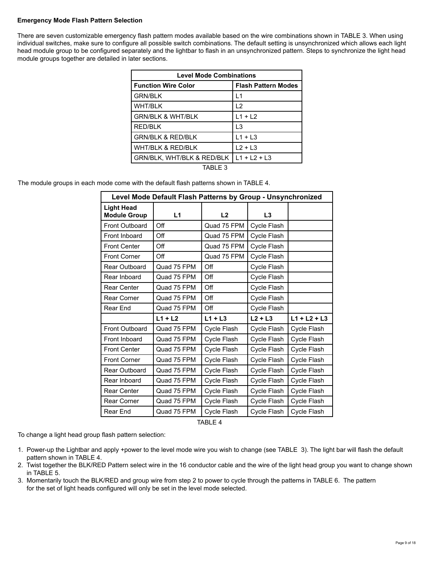#### **Emergency Mode Flash Pattern Selection**

There are seven customizable emergency flash pattern modes available based on the wire combinations shown in TABLE 3. When using individual switches, make sure to configure all possible switch combinations. The default setting is unsynchronized which allows each light head module group to be configured separately and the lightbar to flash in an unsynchronized pattern. Steps to synchronize the light head module groups together are detailed in later sections.

| <b>Level Mode Combinations</b>        |                            |  |  |
|---------------------------------------|----------------------------|--|--|
| <b>Function Wire Color</b>            | <b>Flash Pattern Modes</b> |  |  |
| <b>GRN/BLK</b>                        | l 1                        |  |  |
| <b>WHT/BLK</b>                        | 12                         |  |  |
| <b>GRN/BLK &amp; WHT/BLK</b>          | $L1 + L2$                  |  |  |
| <b>RED/BLK</b>                        | l 3                        |  |  |
| <b>GRN/BLK &amp; RED/BLK</b>          | $L1 + L3$                  |  |  |
| <b>WHT/BLK &amp; RED/BLK</b>          | $L2 + L3$                  |  |  |
| <b>GRN/BLK, WHT/BLK &amp; RED/BLK</b> | $L1 + L2 + L3$             |  |  |
| TABI F 3                              |                            |  |  |

The module groups in each mode come with the default flash patterns shown in TABLE 4.

| Level Mode Default Flash Patterns by Group - Unsynchronized |             |             |             |                |
|-------------------------------------------------------------|-------------|-------------|-------------|----------------|
| <b>Light Head</b><br><b>Module Group</b>                    | L1          | L2          | L3          |                |
| Front Outboard                                              | Off         | Quad 75 FPM | Cycle Flash |                |
| Front Inboard                                               | Off         | Quad 75 FPM | Cycle Flash |                |
| <b>Front Center</b>                                         | Off         | Quad 75 FPM | Cycle Flash |                |
| <b>Front Corner</b>                                         | Off         | Quad 75 FPM | Cycle Flash |                |
| <b>Rear Outboard</b>                                        | Quad 75 FPM | Off         | Cycle Flash |                |
| Rear Inboard                                                | Quad 75 FPM | Off         | Cycle Flash |                |
| <b>Rear Center</b>                                          | Quad 75 FPM | Off         | Cycle Flash |                |
| <b>Rear Corner</b>                                          | Quad 75 FPM | Off         | Cycle Flash |                |
| Rear End                                                    | Quad 75 FPM | Off         | Cycle Flash |                |
|                                                             | $L1 + L2$   | $L1 + L3$   | $L2 + L3$   | $L1 + L2 + L3$ |
| <b>Front Outboard</b>                                       | Quad 75 FPM | Cycle Flash | Cycle Flash | Cycle Flash    |
| Front Inboard                                               | Quad 75 FPM | Cycle Flash | Cycle Flash | Cycle Flash    |
| <b>Front Center</b>                                         | Quad 75 FPM | Cycle Flash | Cycle Flash | Cycle Flash    |
| <b>Front Corner</b>                                         | Quad 75 FPM | Cycle Flash | Cycle Flash | Cycle Flash    |
| <b>Rear Outboard</b>                                        | Quad 75 FPM | Cycle Flash | Cycle Flash | Cycle Flash    |
| Rear Inboard                                                | Quad 75 FPM | Cycle Flash | Cycle Flash | Cycle Flash    |
| <b>Rear Center</b>                                          | Quad 75 FPM | Cycle Flash | Cycle Flash | Cycle Flash    |
| <b>Rear Corner</b>                                          | Quad 75 FPM | Cycle Flash | Cycle Flash | Cycle Flash    |
| Rear End                                                    | Quad 75 FPM | Cycle Flash | Cycle Flash | Cycle Flash    |

TABLE 4

To change a light head group flash pattern selection:

- 1. Power-up the Lightbar and apply +power to the level mode wire you wish to change (see TABLE 3). The light bar will flash the default pattern shown in TABLE 4.
- 2. Twist together the BLK/RED Pattern select wire in the 16 conductor cable and the wire of the light head group you want to change shown in TABLE 5.
- 3. Momentarily touch the BLK/RED and group wire from step 2 to power to cycle through the patterns in TABLE 6. The pattern for the set of light heads configured will only be set in the level mode selected.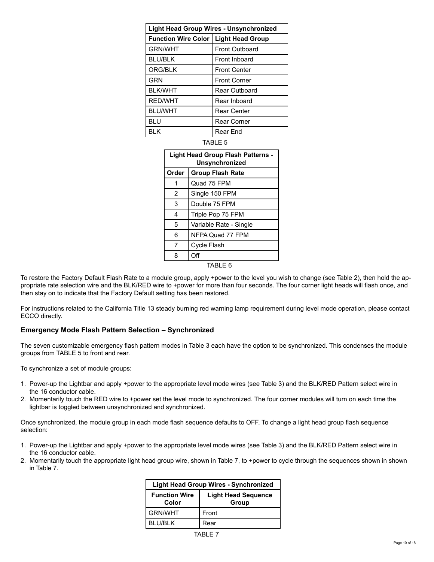|                                                       |   |               | <b>Light Head Group Wires - Unsynchronized</b>             |  |
|-------------------------------------------------------|---|---------------|------------------------------------------------------------|--|
| <b>Function Wire Color</b><br><b>Light Head Group</b> |   |               |                                                            |  |
| <b>GRN/WHT</b>                                        |   |               | <b>Front Outboard</b>                                      |  |
| <b>BLU/BLK</b>                                        |   |               | Front Inboard                                              |  |
| ORG/BLK                                               |   |               | <b>Front Center</b>                                        |  |
| <b>GRN</b>                                            |   |               | <b>Front Corner</b>                                        |  |
| <b>BLK/WHT</b>                                        |   |               | Rear Outboard                                              |  |
| <b>RED/WHT</b>                                        |   |               | Rear Inboard                                               |  |
| <b>BLU/WHT</b>                                        |   |               | Rear Center                                                |  |
| BLU                                                   |   |               | Rear Corner                                                |  |
| BI K                                                  |   |               | Rear End                                                   |  |
|                                                       |   |               | TABLE 5                                                    |  |
|                                                       |   |               | <b>Light Head Group Flash Patterns -</b><br>Unsynchronized |  |
| Order                                                 |   |               | <b>Group Flash Rate</b>                                    |  |
| Quad 75 FPM<br>1                                      |   |               |                                                            |  |
| 2<br>Single 150 FPM                                   |   |               |                                                            |  |
|                                                       | 3 | Double 75 FPM |                                                            |  |
| 4                                                     |   |               | Trinle Pon 75 FPM                                          |  |

4 Triple Pop 75 FPM 5 Variable Rate - Single 6 NFPA Quad 77 FPM 7 | Cycle Flash 8 Off

TABLE 6

To restore the Factory Default Flash Rate to a module group, apply +power to the level you wish to change (see Table 2), then hold the appropriate rate selection wire and the BLK/RED wire to +power for more than four seconds. The four corner light heads will flash once, and then stay on to indicate that the Factory Default setting has been restored.

For instructions related to the California Title 13 steady burning red warning lamp requirement during level mode operation, please contact ECCO directly.

### **Emergency Mode Flash Pattern Selection – Synchronized**

The seven customizable emergency flash pattern modes in Table 3 each have the option to be synchronized. This condenses the module groups from TABLE 5 to front and rear.

To synchronize a set of module groups:

- 1. Power-up the Lightbar and apply +power to the appropriate level mode wires (see Table 3) and the BLK/RED Pattern select wire in the 16 conductor cable.
- 2. Momentarily touch the RED wire to +power set the level mode to synchronized. The four corner modules will turn on each time the lightbar is toggled between unsynchronized and synchronized.

Once synchronized, the module group in each mode flash sequence defaults to OFF. To change a light head group flash sequence selection:

- 1. Power-up the Lightbar and apply +power to the appropriate level mode wires (see Table 3) and the BLK/RED Pattern select wire in the 16 conductor cable.
- 2. Momentarily touch the appropriate light head group wire, shown in Table 7, to +power to cycle through the sequences shown in shown in Table 7.

| <b>Light Head Group Wires - Synchronized</b> |                                     |  |
|----------------------------------------------|-------------------------------------|--|
| <b>Function Wire</b><br>Color                | <b>Light Head Sequence</b><br>Group |  |
| <b>GRN/WHT</b>                               | Front                               |  |
| <b>BLU/BLK</b>                               | Rear                                |  |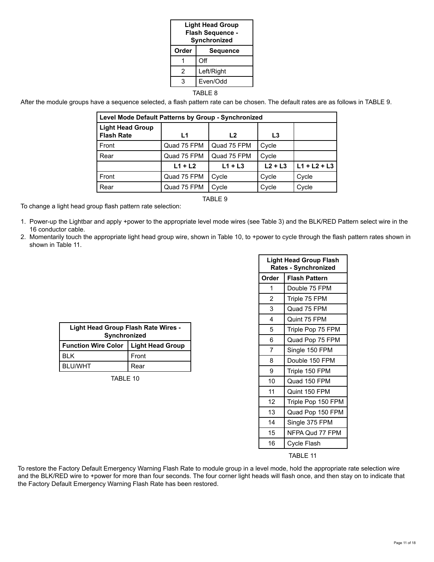| <b>Light Head Group</b><br>Flash Sequence -<br>Synchronized |                 |  |
|-------------------------------------------------------------|-----------------|--|
| Order                                                       | <b>Sequence</b> |  |
|                                                             | Off             |  |
| 2                                                           | Left/Right      |  |
| Even/Odd<br>3                                               |                 |  |
|                                                             |                 |  |

TABLE 8

After the module groups have a sequence selected, a flash pattern rate can be chosen. The default rates are as follows in TABLE 9.

| Level Mode Default Patterns by Group - Synchronized |             |                |           |                |
|-----------------------------------------------------|-------------|----------------|-----------|----------------|
| <b>Light Head Group</b><br><b>Flash Rate</b>        | L1          | L <sub>2</sub> | L3        |                |
| Front                                               | Quad 75 FPM | Quad 75 FPM    | Cycle     |                |
| Rear                                                | Quad 75 FPM | Quad 75 FPM    | Cycle     |                |
|                                                     | $L1 + L2$   | $L1 + L3$      | $L2 + L3$ | $L1 + L2 + L3$ |
| Front                                               | Quad 75 FPM | Cycle          | Cycle     | Cycle          |
| Rear                                                | Quad 75 FPM | Cycle          | Cycle     | Cycle          |

TABLE 9

To change a light head group flash pattern rate selection:

- 1. Power-up the Lightbar and apply +power to the appropriate level mode wires (see Table 3) and the BLK/RED Pattern select wire in the 16 conductor cable.
- 2. Momentarily touch the appropriate light head group wire, shown in Table 10, to +power to cycle through the flash pattern rates shown in shown in Table 11.

| Light Head Group Flash Rate Wires - |                         |  |  |
|-------------------------------------|-------------------------|--|--|
| Synchronized                        |                         |  |  |
| <b>Function Wire Color</b>          | <b>Light Head Group</b> |  |  |
| RI K                                | Front                   |  |  |
| <b>BI U/WHT</b>                     | Rear                    |  |  |

TABLE 10

| <b>Light Head Group Flash</b><br><b>Rates - Synchronized</b> |                      |  |
|--------------------------------------------------------------|----------------------|--|
| Order                                                        | <b>Flash Pattern</b> |  |
| 1                                                            | Double 75 FPM        |  |
| 2                                                            | Triple 75 FPM        |  |
| 3                                                            | Quad 75 FPM          |  |
| 4                                                            | Quint 75 FPM         |  |
| 5                                                            | Triple Pop 75 FPM    |  |
| 6                                                            | Quad Pop 75 FPM      |  |
| 7                                                            | Single 150 FPM       |  |
| 8                                                            | Double 150 FPM       |  |
| 9                                                            | Triple 150 FPM       |  |
| 10                                                           | Quad 150 FPM         |  |
| 11                                                           | Quint 150 FPM        |  |
| 12                                                           | Triple Pop 150 FPM   |  |
| 13                                                           | Quad Pop 150 FPM     |  |
| 14                                                           | Single 375 FPM       |  |
| 15                                                           | NFPA Qud 77 FPM      |  |
| 16                                                           | Cycle Flash          |  |

TABLE 11

To restore the Factory Default Emergency Warning Flash Rate to module group in a level mode, hold the appropriate rate selection wire and the BLK/RED wire to +power for more than four seconds. The four corner light heads will flash once, and then stay on to indicate that the Factory Default Emergency Warning Flash Rate has been restored.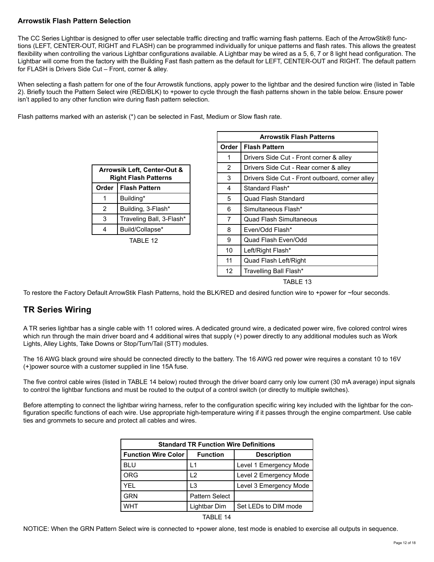### **Arrowstik Flash Pattern Selection**

The CC Series Lightbar is designed to offer user selectable traffic directing and traffic warning flash patterns. Each of the ArrowStik® functions (LEFT, CENTER-OUT, RIGHT and FLASH) can be programmed individually for unique patterns and flash rates. This allows the greatest flexibility when controlling the various Lightbar configurations available. A Lightbar may be wired as a 5, 6, 7 or 8 light head configuration. The Lightbar will come from the factory with the Building Fast flash pattern as the default for LEFT, CENTER-OUT and RIGHT. The default pattern for FLASH is Drivers Side Cut – Front, corner & alley.

When selecting a flash pattern for one of the four Arrowstik functions, apply power to the lightbar and the desired function wire (listed in Table 2). Briefly touch the Pattern Select wire (RED/BLK) to +power to cycle through the flash patterns shown in the table below. Ensure power isn't applied to any other function wire during flash pattern selection.

Flash patterns marked with an asterisk (\*) can be selected in Fast, Medium or Slow flash rate.

| <b>Arrowsik Left, Center-Out &amp;</b><br><b>Right Flash Patterns</b> |                          |
|-----------------------------------------------------------------------|--------------------------|
| Order                                                                 | <b>Flash Pattern</b>     |
|                                                                       | Building*                |
| 2                                                                     | Building, 3-Flash*       |
| 3                                                                     | Traveling Ball, 3-Flash* |
|                                                                       | Build/Collapse*          |
| ᅲ៱ᇊᇊ                                                                  |                          |

#### TABLE 12

| <b>Arrowstik Flash Patterns</b> |                                                 |  |
|---------------------------------|-------------------------------------------------|--|
| Order                           | <b>Flash Pattern</b>                            |  |
| 1                               | Drivers Side Cut - Front corner & alley         |  |
| 2                               | Drivers Side Cut - Rear corner & alley          |  |
| 3                               | Drivers Side Cut - Front outboard, corner alley |  |
| 4                               | Standard Flash*                                 |  |
| 5                               | Quad Flash Standard                             |  |
| 6                               | Simultaneous Flash*                             |  |
| 7                               | Quad Flash Simultaneous                         |  |
| 8                               | Even/Odd Flash*                                 |  |
| 9                               | Quad Flash Even/Odd                             |  |
| 10                              | Left/Right Flash*                               |  |
| 11                              | Quad Flash Left/Right                           |  |
| 12                              | Travelling Ball Flash*                          |  |

TABLE 13

To restore the Factory Default ArrowStik Flash Patterns, hold the BLK/RED and desired function wire to +power for ~four seconds.

# **TR Series Wiring**

A TR series lightbar has a single cable with 11 colored wires. A dedicated ground wire, a dedicated power wire, five colored control wires which run through the main driver board and 4 additional wires that supply (+) power directly to any additional modules such as Work Lights, Alley Lights, Take Downs or Stop/Turn/Tail (STT) modules.

The 16 AWG black ground wire should be connected directly to the battery. The 16 AWG red power wire requires a constant 10 to 16V (+)power source with a customer supplied in line 15A fuse.

The five control cable wires (listed in TABLE 14 below) routed through the driver board carry only low current (30 mA average) input signals to control the lightbar functions and must be routed to the output of a control switch (or directly to multiple switches).

Before attempting to connect the lightbar wiring harness, refer to the configuration specific wiring key included with the lightbar for the configuration specific functions of each wire. Use appropriate high-temperature wiring if it passes through the engine compartment. Use cable ties and grommets to secure and protect all cables and wires.

| <b>Standard TR Function Wire Definitions</b> |                 |                        |  |  |
|----------------------------------------------|-----------------|------------------------|--|--|
| <b>Function Wire Color</b>                   | <b>Function</b> | <b>Description</b>     |  |  |
| <b>BLU</b>                                   | l 1             | Level 1 Emergency Mode |  |  |
| <b>ORG</b>                                   | $\overline{2}$  | Level 2 Emergency Mode |  |  |
| YFI                                          | L3              | Level 3 Emergency Mode |  |  |
| <b>GRN</b>                                   | Pattern Select  |                        |  |  |
| WHT                                          | Lightbar Dim    | Set LEDs to DIM mode   |  |  |



NOTICE: When the GRN Pattern Select wire is connected to +power alone, test mode is enabled to exercise all outputs in sequence.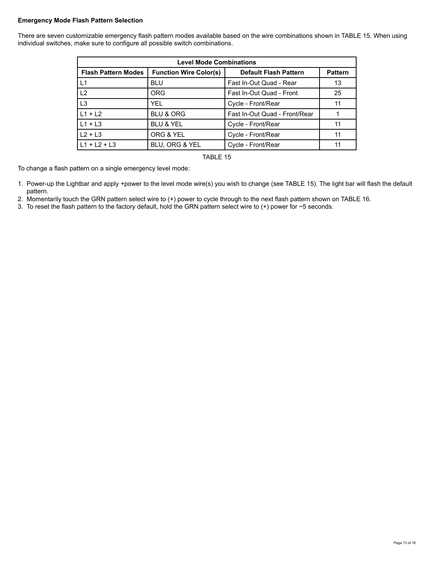#### **Emergency Mode Flash Pattern Selection**

There are seven customizable emergency flash pattern modes available based on the wire combinations shown in TABLE 15. When using individual switches, make sure to configure all possible switch combinations.

| <b>Level Mode Combinations</b> |                               |                               |                |  |
|--------------------------------|-------------------------------|-------------------------------|----------------|--|
| <b>Flash Pattern Modes</b>     | <b>Function Wire Color(s)</b> | <b>Default Flash Pattern</b>  | <b>Pattern</b> |  |
| L1                             | <b>BLU</b>                    | Fast In-Out Quad - Rear       | 13             |  |
| L2                             | <b>ORG</b>                    | Fast In-Out Quad - Front      | 25             |  |
| L <sub>3</sub>                 | YEL.                          | Cycle - Front/Rear            | 11             |  |
| $L1 + L2$                      | <b>BLU &amp; ORG</b>          | Fast In-Out Quad - Front/Rear |                |  |
| $L1 + L3$                      | <b>BLU &amp; YEL</b>          | Cycle - Front/Rear            | 11             |  |
| $L2 + L3$                      | ORG & YEL                     | Cycle - Front/Rear            | 11             |  |
| $L1 + L2 + L3$                 | BLU, ORG & YEL                | Cycle - Front/Rear            | 11             |  |



To change a flash pattern on a single emergency level mode:

- 1. Power-up the Lightbar and apply +power to the level mode wire(s) you wish to change (see TABLE 15). The light bar will flash the default pattern.
- 2. Momentarily touch the GRN pattern select wire to (+) power to cycle through to the next flash pattern shown on TABLE 16.
- 3. To reset the flash pattern to the factory default, hold the GRN pattern select wire to (+) power for ~5 seconds.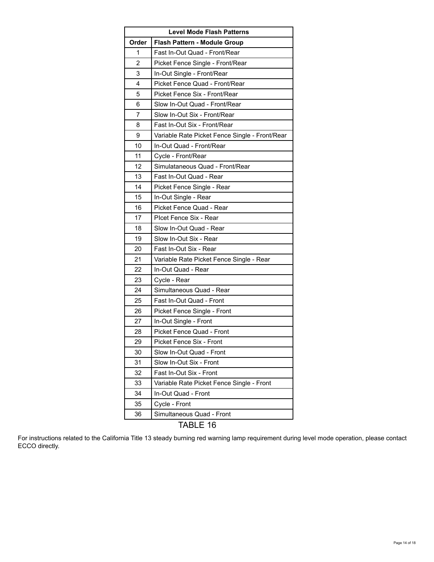| <b>Level Mode Flash Patterns</b> |                                                |  |
|----------------------------------|------------------------------------------------|--|
| Order                            | Flash Pattern - Module Group                   |  |
| 1                                | Fast In-Out Quad - Front/Rear                  |  |
| $\overline{2}$                   | Picket Fence Single - Front/Rear               |  |
| 3                                | In-Out Single - Front/Rear                     |  |
| 4                                | Picket Fence Quad - Front/Rear                 |  |
| 5                                | Picket Fence Six - Front/Rear                  |  |
| 6                                | Slow In-Out Quad - Front/Rear                  |  |
| 7                                | Slow In-Out Six - Front/Rear                   |  |
| 8                                | Fast In-Out Six - Front/Rear                   |  |
| 9                                | Variable Rate Picket Fence Single - Front/Rear |  |
| 10                               | In-Out Quad - Front/Rear                       |  |
| 11                               | Cycle - Front/Rear                             |  |
| 12                               | Simulataneous Quad - Front/Rear                |  |
| 13                               | Fast In-Out Quad - Rear                        |  |
| 14                               | Picket Fence Single - Rear                     |  |
| 15                               | In-Out Single - Rear                           |  |
| 16                               | Picket Fence Quad - Rear                       |  |
| 17                               | Plcet Fence Six - Rear                         |  |
| 18                               | Slow In-Out Quad - Rear                        |  |
| 19                               | Slow In-Out Six - Rear                         |  |
| 20                               | Fast In-Out Six - Rear                         |  |
| 21                               | Variable Rate Picket Fence Single - Rear       |  |
| 22                               | In-Out Quad - Rear                             |  |
| 23                               | Cycle - Rear                                   |  |
| 24                               | Simultaneous Quad - Rear                       |  |
| 25                               | Fast In-Out Quad - Front                       |  |
| 26                               | Picket Fence Single - Front                    |  |
| 27                               | In-Out Single - Front                          |  |
| 28                               | Picket Fence Quad - Front                      |  |
| 29                               | Picket Fence Six - Front                       |  |
| 30                               | Slow In-Out Quad - Front                       |  |
| 31                               | Slow In-Out Six - Front                        |  |
| 32                               | Fast In-Out Six - Front                        |  |
| 33                               | Variable Rate Picket Fence Single - Front      |  |
| 34                               | In-Out Quad - Front                            |  |
| 35                               | Cycle - Front                                  |  |
| 36                               | Simultaneous Quad - Front                      |  |

# TABLE 16

For instructions related to the California Title 13 steady burning red warning lamp requirement during level mode operation, please contact ECCO directly.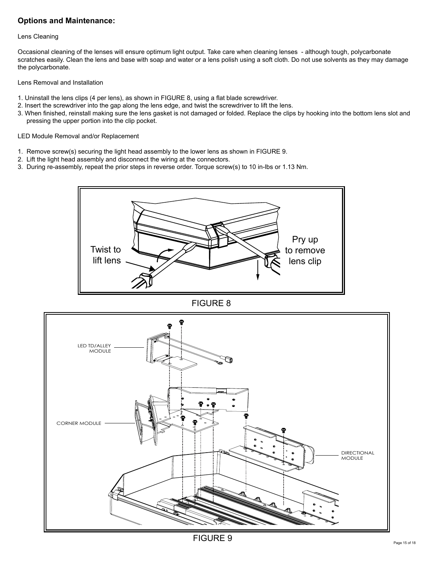### **Options and Maintenance:**

#### Lens Cleaning

Occasional cleaning of the lenses will ensure optimum light output. Take care when cleaning lenses - although tough, polycarbonate scratches easily. Clean the lens and base with soap and water or a lens polish using a soft cloth. Do not use solvents as they may damage the polycarbonate.

#### Lens Removal and Installation

- 1. Uninstall the lens clips (4 per lens), as shown in FIGURE 8, using a flat blade screwdriver.
- 2. Insert the screwdriver into the gap along the lens edge, and twist the screwdriver to lift the lens.
- 3. When finished, reinstall making sure the lens gasket is not damaged or folded. Replace the clips by hooking into the bottom lens slot and pressing the upper portion into the clip pocket.

#### LED Module Removal and/or Replacement

- 1. Remove screw(s) securing the light head assembly to the lower lens as shown in FIGURE 9.
- 2. Lift the light head assembly and disconnect the wiring at the connectors.
- 3. During re-assembly, repeat the prior steps in reverse order. Torque screw(s) to 10 in-lbs or 1.13 Nm.





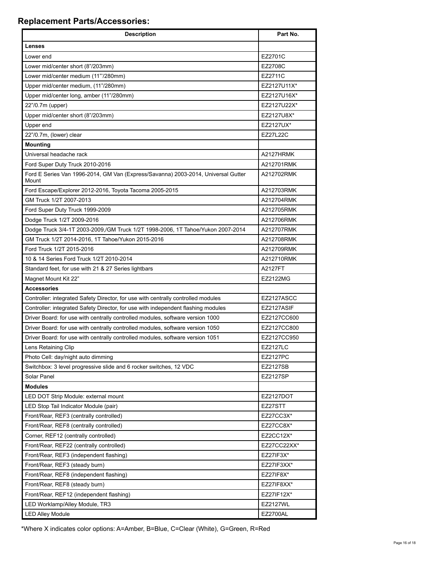# **Replacement Parts/Accessories:**

| <b>Description</b>                                                                         | Part No.         |
|--------------------------------------------------------------------------------------------|------------------|
| Lenses                                                                                     |                  |
| Lower end                                                                                  | EZ2701C          |
| Lower mid/center short (8"/203mm)                                                          | EZ2708C          |
| Lower mid/center medium (11"/280mm)                                                        | EZ2711C          |
| Upper mid/center medium, (11"/280mm)                                                       | EZ2127U11X*      |
| Upper mid/center long, amber (11"/280mm)                                                   | EZ2127U16X*      |
| 22"/0.7m (upper)                                                                           | EZ2127U22X*      |
| Upper mid/center short (8"/203mm)                                                          | EZ2127U8X*       |
| Upper end                                                                                  | EZ2127UX*        |
| 22"/0.7m, (lower) clear                                                                    | <b>EZ27L22C</b>  |
| <b>Mounting</b>                                                                            |                  |
| Universal headache rack                                                                    | A2127HRMK        |
| Ford Super Duty Truck 2010-2016                                                            | A212701RMK       |
| Ford E Series Van 1996-2014, GM Van (Express/Savanna) 2003-2014, Universal Gutter<br>Mount | A212702RMK       |
| Ford Escape/Explorer 2012-2016, Toyota Tacoma 2005-2015                                    | A212703RMK       |
| GM Truck 1/2T 2007-2013                                                                    | A212704RMK       |
| Ford Super Duty Truck 1999-2009                                                            | A212705RMK       |
| Dodge Truck 1/2T 2009-2016                                                                 | A212706RMK       |
| Dodge Truck 3/4-1T 2003-2009,/GM Truck 1/2T 1998-2006, 1T Tahoe/Yukon 2007-2014            | A212707RMK       |
| GM Truck 1/2T 2014-2016, 1T Tahoe/Yukon 2015-2016                                          | A212708RMK       |
| Ford Truck 1/2T 2015-2016                                                                  | A212709RMK       |
| 10 & 14 Series Ford Truck 1/2T 2010-2014                                                   | A212710RMK       |
| Standard feet, for use with 21 & 27 Series lightbars                                       | A2127FT          |
| Magnet Mount Kit 22"                                                                       | <b>EZ2122MG</b>  |
| <b>Accessories</b>                                                                         |                  |
| Controller: integrated Safety Director, for use with centrally controlled modules          | EZ2127ASCC       |
| Controller: integrated Safety Director, for use with independent flashing modules          | EZ2127ASIF       |
| Driver Board: for use with centrally controlled modules, software version 1000             | EZ2127CC600      |
| Driver Board: for use with centrally controlled modules, software version 1050             | EZ2127CC800      |
| Driver Board: for use with centrally controlled modules, software version 1051             | EZ2127CC950      |
| Lens Retaining Clip                                                                        | <b>EZ2127LC</b>  |
| Photo Cell: day/night auto dimming                                                         | EZ2127PC         |
| Switchbox: 3 level progressive slide and 6 rocker switches, 12 VDC                         | <b>EZ2127SB</b>  |
| Solar Panel                                                                                | <b>EZ2127SP</b>  |
| <b>Modules</b>                                                                             |                  |
| LED DOT Strip Module: external mount                                                       | <b>EZ2127DOT</b> |
| LED Stop Tail Indicator Module (pair)                                                      | EZ27STT          |
| Front/Rear, REF3 (centrally controlled)                                                    | EZ27CC3X*        |
| Front/Rear, REF8 (centrally controlled)                                                    | EZ27CC8X*        |
| Corner, REF12 (centrally controlled)                                                       | EZ2CC12X*        |
| Front/Rear, REF22 (centrally controlled)                                                   | EZ27CC22XX*      |
| Front/Rear, REF3 (independent flashing)                                                    | EZ27IF3X*        |
| Front/Rear, REF3 (steady burn)                                                             | EZ27IF3XX*       |
| Front/Rear, REF8 (independent flashing)                                                    | EZ27IF8X*        |
| Front/Rear, REF8 (steady burn)                                                             | EZ27IF8XX*       |
| Front/Rear, REF12 (independent flashing)                                                   | EZ27IF12X*       |
| LED Worklamp/Alley Module, TR3                                                             | <b>EZ2127WL</b>  |
| <b>LED Alley Module</b>                                                                    | <b>EZ2700AL</b>  |

\*Where X indicates color options: A=Amber, B=Blue, C=Clear (White), G=Green, R=Red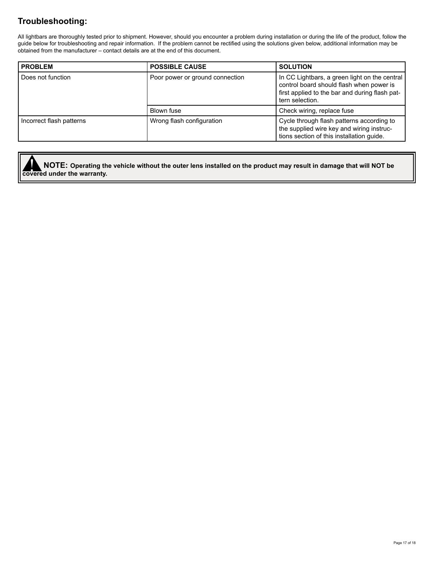# **Troubleshooting:**

All lightbars are thoroughly tested prior to shipment. However, should you encounter a problem during installation or during the life of the product, follow the guide below for troubleshooting and repair information. If the problem cannot be rectified using the solutions given below, additional information may be obtained from the manufacturer – contact details are at the end of this document.

| <b>PROBLEM</b>           | <b>POSSIBLE CAUSE</b>           | <b>SOLUTION</b>                                                                                                                                                |
|--------------------------|---------------------------------|----------------------------------------------------------------------------------------------------------------------------------------------------------------|
| Does not function        | Poor power or ground connection | In CC Lightbars, a green light on the central<br>control board should flash when power is<br>first applied to the bar and during flash pat-<br>tern selection. |
|                          | Blown fuse                      | Check wiring, replace fuse                                                                                                                                     |
| Incorrect flash patterns | Wrong flash configuration       | Cycle through flash patterns according to<br>the supplied wire key and wiring instruc-<br>tions section of this installation guide.                            |

**covered under the warranty. NOTE: Operating the vehicle without the outer lens installed on the product may result in damage that will NOT be**